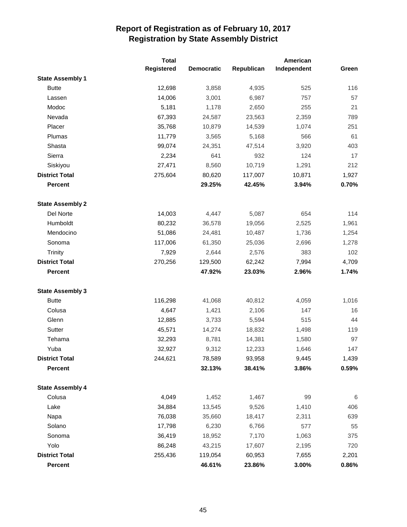|                         | <b>Total</b> |                   |            | American    |         |
|-------------------------|--------------|-------------------|------------|-------------|---------|
|                         | Registered   | <b>Democratic</b> | Republican | Independent | Green   |
| <b>State Assembly 1</b> |              |                   |            |             |         |
| <b>Butte</b>            | 12,698       | 3,858             | 4,935      | 525         | 116     |
| Lassen                  | 14,006       | 3,001             | 6,987      | 757         | 57      |
| Modoc                   | 5,181        | 1,178             | 2,650      | 255         | 21      |
| Nevada                  | 67,393       | 24,587            | 23,563     | 2,359       | 789     |
| Placer                  | 35,768       | 10,879            | 14,539     | 1,074       | 251     |
| Plumas                  | 11,779       | 3,565             | 5,168      | 566         | 61      |
| Shasta                  | 99,074       | 24,351            | 47,514     | 3,920       | 403     |
| Sierra                  | 2,234        | 641               | 932        | 124         | 17      |
| Siskiyou                | 27,471       | 8,560             | 10,719     | 1,291       | 212     |
| <b>District Total</b>   | 275,604      | 80,620            | 117,007    | 10,871      | 1,927   |
| <b>Percent</b>          |              | 29.25%            | 42.45%     | 3.94%       | 0.70%   |
| <b>State Assembly 2</b> |              |                   |            |             |         |
| Del Norte               | 14,003       | 4,447             | 5,087      | 654         | 114     |
| Humboldt                | 80,232       | 36,578            | 19,056     | 2,525       | 1,961   |
| Mendocino               | 51,086       | 24,481            | 10,487     | 1,736       | 1,254   |
| Sonoma                  | 117,006      | 61,350            | 25,036     | 2,696       | 1,278   |
| <b>Trinity</b>          | 7,929        | 2,644             | 2,576      | 383         | 102     |
| <b>District Total</b>   | 270,256      | 129,500           | 62,242     | 7,994       | 4,709   |
| <b>Percent</b>          |              | 47.92%            | 23.03%     | 2.96%       | 1.74%   |
| <b>State Assembly 3</b> |              |                   |            |             |         |
| <b>Butte</b>            | 116,298      | 41,068            | 40,812     | 4,059       | 1,016   |
| Colusa                  | 4,647        | 1,421             | 2,106      | 147         | 16      |
| Glenn                   | 12,885       | 3,733             | 5,594      | 515         | 44      |
| Sutter                  | 45,571       | 14,274            | 18,832     | 1,498       | 119     |
| Tehama                  | 32,293       | 8,781             | 14,381     | 1,580       | 97      |
| Yuba                    | 32,927       | 9,312             | 12,233     | 1,646       | 147     |
| <b>District Total</b>   | 244,621      | 78,589            | 93,958     | 9,445       | 1,439   |
| <b>Percent</b>          |              | 32.13%            | 38.41%     | 3.86%       | 0.59%   |
| <b>State Assembly 4</b> |              |                   |            |             |         |
| Colusa                  | 4,049        | 1,452             | 1,467      | 99          | $\,6\,$ |
| Lake                    | 34,884       | 13,545            | 9,526      | 1,410       | 406     |
| Napa                    | 76,038       | 35,660            | 18,417     | 2,311       | 639     |
| Solano                  | 17,798       | 6,230             | 6,766      | 577         | 55      |
| Sonoma                  | 36,419       | 18,952            | 7,170      | 1,063       | 375     |
| Yolo                    | 86,248       | 43,215            | 17,607     | 2,195       | 720     |
| <b>District Total</b>   | 255,436      | 119,054           | 60,953     | 7,655       | 2,201   |
| Percent                 |              | 46.61%            | 23.86%     | 3.00%       | 0.86%   |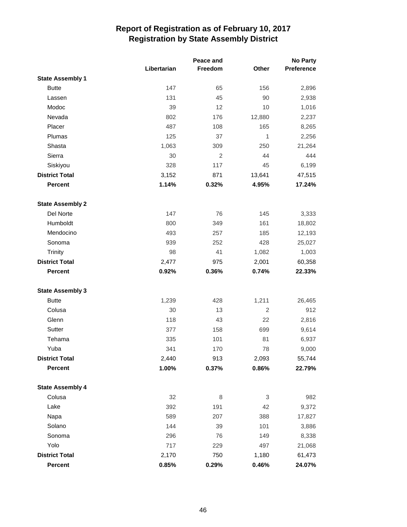|                         |             |         | <b>No Party</b> |            |
|-------------------------|-------------|---------|-----------------|------------|
|                         | Libertarian | Freedom | Other           | Preference |
| <b>State Assembly 1</b> |             |         |                 |            |
| <b>Butte</b>            | 147         | 65      | 156             | 2,896      |
| Lassen                  | 131         | 45      | 90              | 2,938      |
| Modoc                   | 39          | 12      | 10              | 1,016      |
| Nevada                  | 802         | 176     | 12,880          | 2,237      |
| Placer                  | 487         | 108     | 165             | 8,265      |
| Plumas                  | 125         | 37      | 1               | 2,256      |
| Shasta                  | 1,063       | 309     | 250             | 21,264     |
| Sierra                  | 30          | 2       | 44              | 444        |
| Siskiyou                | 328         | 117     | 45              | 6,199      |
| <b>District Total</b>   | 3,152       | 871     | 13,641          | 47,515     |
| <b>Percent</b>          | 1.14%       | 0.32%   | 4.95%           | 17.24%     |
| <b>State Assembly 2</b> |             |         |                 |            |
| Del Norte               | 147         | 76      | 145             | 3,333      |
| Humboldt                | 800         | 349     | 161             | 18,802     |
| Mendocino               | 493         | 257     | 185             | 12,193     |
| Sonoma                  | 939         | 252     | 428             | 25,027     |
| Trinity                 | 98          | 41      | 1,082           | 1,003      |
| <b>District Total</b>   | 2,477       | 975     | 2,001           | 60,358     |
| <b>Percent</b>          | 0.92%       | 0.36%   | 0.74%           | 22.33%     |
| <b>State Assembly 3</b> |             |         |                 |            |
| <b>Butte</b>            | 1,239       | 428     | 1,211           | 26,465     |
| Colusa                  | 30          | 13      | 2               | 912        |
| Glenn                   | 118         | 43      | 22              | 2,816      |
| Sutter                  | 377         | 158     | 699             | 9,614      |
| Tehama                  | 335         | 101     | 81              | 6,937      |
| Yuba                    | 341         | 170     | 78              | 9,000      |
| <b>District Total</b>   | 2,440       | 913     | 2,093           | 55,744     |
| <b>Percent</b>          | 1.00%       | 0.37%   | 0.86%           | 22.79%     |
| <b>State Assembly 4</b> |             |         |                 |            |
| Colusa                  | 32          | 8       | 3               | 982        |
| Lake                    | 392         | 191     | 42              | 9,372      |
| Napa                    | 589         | 207     | 388             | 17,827     |
| Solano                  | 144         | 39      | 101             | 3,886      |
| Sonoma                  | 296         | 76      | 149             | 8,338      |
| Yolo                    | 717         | 229     | 497             | 21,068     |
| <b>District Total</b>   | 2,170       | 750     | 1,180           | 61,473     |
| Percent                 | 0.85%       | 0.29%   | 0.46%           | 24.07%     |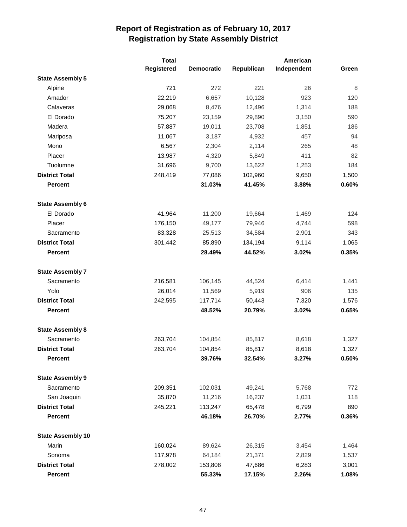|                          | <b>Total</b> |                   |            | American    |       |
|--------------------------|--------------|-------------------|------------|-------------|-------|
|                          | Registered   | <b>Democratic</b> | Republican | Independent | Green |
| <b>State Assembly 5</b>  |              |                   |            |             |       |
| Alpine                   | 721          | 272               | 221        | 26          | 8     |
| Amador                   | 22,219       | 6,657             | 10,128     | 923         | 120   |
| Calaveras                | 29,068       | 8,476             | 12,496     | 1,314       | 188   |
| El Dorado                | 75,207       | 23,159            | 29,890     | 3,150       | 590   |
| Madera                   | 57,887       | 19,011            | 23,708     | 1,851       | 186   |
| Mariposa                 | 11,067       | 3,187             | 4,932      | 457         | 94    |
| Mono                     | 6,567        | 2,304             | 2,114      | 265         | 48    |
| Placer                   | 13,987       | 4,320             | 5,849      | 411         | 82    |
| Tuolumne                 | 31,696       | 9,700             | 13,622     | 1,253       | 184   |
| <b>District Total</b>    | 248,419      | 77,086            | 102,960    | 9,650       | 1,500 |
| <b>Percent</b>           |              | 31.03%            | 41.45%     | 3.88%       | 0.60% |
| <b>State Assembly 6</b>  |              |                   |            |             |       |
| El Dorado                | 41,964       | 11,200            | 19,664     | 1,469       | 124   |
| Placer                   | 176,150      | 49,177            | 79,946     | 4,744       | 598   |
| Sacramento               | 83,328       | 25,513            | 34,584     | 2,901       | 343   |
| <b>District Total</b>    | 301,442      | 85,890            | 134,194    | 9,114       | 1,065 |
| <b>Percent</b>           |              | 28.49%            | 44.52%     | 3.02%       | 0.35% |
| <b>State Assembly 7</b>  |              |                   |            |             |       |
| Sacramento               | 216,581      | 106,145           | 44,524     | 6,414       | 1,441 |
| Yolo                     | 26,014       | 11,569            | 5,919      | 906         | 135   |
| <b>District Total</b>    | 242,595      | 117,714           | 50,443     | 7,320       | 1,576 |
| <b>Percent</b>           |              | 48.52%            | 20.79%     | 3.02%       | 0.65% |
| <b>State Assembly 8</b>  |              |                   |            |             |       |
| Sacramento               | 263,704      | 104,854           | 85,817     | 8,618       | 1,327 |
| <b>District Total</b>    | 263,704      | 104,854           | 85,817     | 8,618       | 1,327 |
| <b>Percent</b>           |              | 39.76%            | 32.54%     | 3.27%       | 0.50% |
| <b>State Assembly 9</b>  |              |                   |            |             |       |
| Sacramento               | 209,351      | 102,031           | 49,241     | 5,768       | 772   |
| San Joaquin              | 35,870       | 11,216            | 16,237     | 1,031       | 118   |
| <b>District Total</b>    | 245,221      | 113,247           | 65,478     | 6,799       | 890   |
| <b>Percent</b>           |              | 46.18%            | 26.70%     | 2.77%       | 0.36% |
| <b>State Assembly 10</b> |              |                   |            |             |       |
| Marin                    | 160,024      | 89,624            | 26,315     | 3,454       | 1,464 |
| Sonoma                   | 117,978      | 64,184            | 21,371     | 2,829       | 1,537 |
| <b>District Total</b>    | 278,002      | 153,808           | 47,686     | 6,283       | 3,001 |
| Percent                  |              | 55.33%            | 17.15%     | 2.26%       | 1.08% |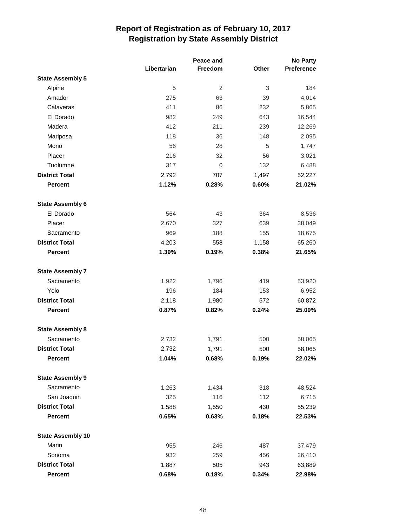|                          | Peace and   |         |       | <b>No Party</b>   |  |
|--------------------------|-------------|---------|-------|-------------------|--|
|                          | Libertarian | Freedom | Other | <b>Preference</b> |  |
| <b>State Assembly 5</b>  |             |         |       |                   |  |
| Alpine                   | 5           | 2       | 3     | 184               |  |
| Amador                   | 275         | 63      | 39    | 4,014             |  |
| Calaveras                | 411         | 86      | 232   | 5,865             |  |
| El Dorado                | 982         | 249     | 643   | 16,544            |  |
| Madera                   | 412         | 211     | 239   | 12,269            |  |
| Mariposa                 | 118         | 36      | 148   | 2,095             |  |
| Mono                     | 56          | 28      | 5     | 1,747             |  |
| Placer                   | 216         | 32      | 56    | 3,021             |  |
| Tuolumne                 | 317         | 0       | 132   | 6,488             |  |
| <b>District Total</b>    | 2,792       | 707     | 1,497 | 52,227            |  |
| <b>Percent</b>           | 1.12%       | 0.28%   | 0.60% | 21.02%            |  |
| <b>State Assembly 6</b>  |             |         |       |                   |  |
| El Dorado                | 564         | 43      | 364   | 8,536             |  |
| Placer                   | 2,670       | 327     | 639   | 38,049            |  |
| Sacramento               | 969         | 188     | 155   | 18,675            |  |
| <b>District Total</b>    | 4,203       | 558     | 1,158 | 65,260            |  |
| <b>Percent</b>           | 1.39%       | 0.19%   | 0.38% | 21.65%            |  |
| <b>State Assembly 7</b>  |             |         |       |                   |  |
| Sacramento               | 1,922       | 1,796   | 419   | 53,920            |  |
| Yolo                     | 196         | 184     | 153   | 6,952             |  |
| <b>District Total</b>    | 2,118       | 1,980   | 572   | 60,872            |  |
| <b>Percent</b>           | 0.87%       | 0.82%   | 0.24% | 25.09%            |  |
| <b>State Assembly 8</b>  |             |         |       |                   |  |
| Sacramento               | 2,732       | 1,791   | 500   | 58,065            |  |
| <b>District Total</b>    | 2,732       | 1,791   | 500   | 58,065            |  |
| <b>Percent</b>           | 1.04%       | 0.68%   | 0.19% | 22.02%            |  |
| <b>State Assembly 9</b>  |             |         |       |                   |  |
| Sacramento               | 1,263       | 1,434   | 318   | 48,524            |  |
| San Joaquin              | 325         | 116     | 112   | 6,715             |  |
| <b>District Total</b>    | 1,588       | 1,550   | 430   | 55,239            |  |
| Percent                  | 0.65%       | 0.63%   | 0.18% | 22.53%            |  |
| <b>State Assembly 10</b> |             |         |       |                   |  |
| Marin                    | 955         | 246     | 487   | 37,479            |  |
| Sonoma                   | 932         | 259     | 456   | 26,410            |  |
| <b>District Total</b>    | 1,887       | 505     | 943   | 63,889            |  |
| Percent                  | 0.68%       | 0.18%   | 0.34% | 22.98%            |  |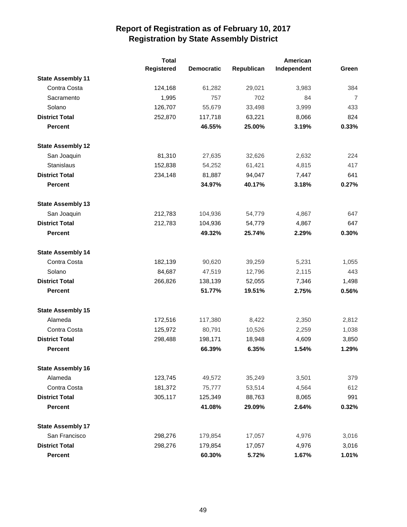|                          | <b>Total</b>      |                   |            | American    |                |
|--------------------------|-------------------|-------------------|------------|-------------|----------------|
|                          | <b>Registered</b> | <b>Democratic</b> | Republican | Independent | Green          |
| <b>State Assembly 11</b> |                   |                   |            |             |                |
| Contra Costa             | 124,168           | 61,282            | 29,021     | 3,983       | 384            |
| Sacramento               | 1,995             | 757               | 702        | 84          | $\overline{7}$ |
| Solano                   | 126,707           | 55,679            | 33,498     | 3,999       | 433            |
| <b>District Total</b>    | 252,870           | 117,718           | 63,221     | 8,066       | 824            |
| <b>Percent</b>           |                   | 46.55%            | 25.00%     | 3.19%       | 0.33%          |
| <b>State Assembly 12</b> |                   |                   |            |             |                |
| San Joaquin              | 81,310            | 27,635            | 32,626     | 2,632       | 224            |
| Stanislaus               | 152,838           | 54,252            | 61,421     | 4,815       | 417            |
| <b>District Total</b>    | 234,148           | 81,887            | 94,047     | 7,447       | 641            |
| <b>Percent</b>           |                   | 34.97%            | 40.17%     | 3.18%       | 0.27%          |
| <b>State Assembly 13</b> |                   |                   |            |             |                |
| San Joaquin              | 212,783           | 104,936           | 54,779     | 4,867       | 647            |
| <b>District Total</b>    | 212,783           | 104,936           | 54,779     | 4,867       | 647            |
| <b>Percent</b>           |                   | 49.32%            | 25.74%     | 2.29%       | 0.30%          |
| <b>State Assembly 14</b> |                   |                   |            |             |                |
| Contra Costa             | 182,139           | 90,620            | 39,259     | 5,231       | 1,055          |
| Solano                   | 84,687            | 47,519            | 12,796     | 2,115       | 443            |
| <b>District Total</b>    | 266,826           | 138,139           | 52,055     | 7,346       | 1,498          |
| <b>Percent</b>           |                   | 51.77%            | 19.51%     | 2.75%       | 0.56%          |
| <b>State Assembly 15</b> |                   |                   |            |             |                |
| Alameda                  | 172,516           | 117,380           | 8,422      | 2,350       | 2,812          |
| Contra Costa             | 125,972           | 80,791            | 10,526     | 2,259       | 1,038          |
| <b>District Total</b>    | 298,488           | 198,171           | 18,948     | 4,609       | 3,850          |
| <b>Percent</b>           |                   | 66.39%            | 6.35%      | 1.54%       | 1.29%          |
| <b>State Assembly 16</b> |                   |                   |            |             |                |
| Alameda                  | 123,745           | 49,572            | 35,249     | 3,501       | 379            |
| Contra Costa             | 181,372           | 75,777            | 53,514     | 4,564       | 612            |
| <b>District Total</b>    | 305,117           | 125,349           | 88,763     | 8,065       | 991            |
| <b>Percent</b>           |                   | 41.08%            | 29.09%     | 2.64%       | 0.32%          |
| <b>State Assembly 17</b> |                   |                   |            |             |                |
| San Francisco            | 298,276           | 179,854           | 17,057     | 4,976       | 3,016          |
| <b>District Total</b>    | 298,276           | 179,854           | 17,057     | 4,976       | 3,016          |
| <b>Percent</b>           |                   | 60.30%            | 5.72%      | 1.67%       | 1.01%          |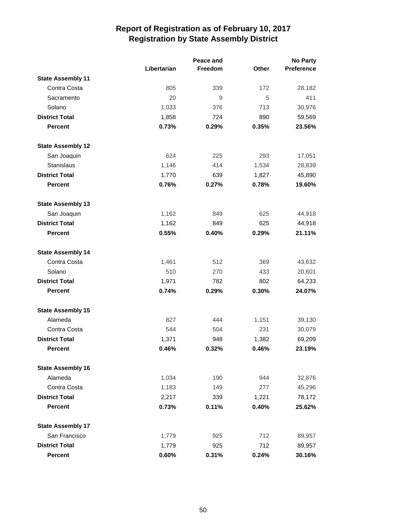|                          |             |         | <b>No Party</b> |                   |
|--------------------------|-------------|---------|-----------------|-------------------|
|                          | Libertarian | Freedom | Other           | <b>Preference</b> |
| <b>State Assembly 11</b> |             |         |                 |                   |
| Contra Costa             | 805         | 339     | 172             | 28,182            |
| Sacramento               | 20          | 9       | 5               | 411               |
| Solano                   | 1,033       | 376     | 713             | 30,976            |
| <b>District Total</b>    | 1,858       | 724     | 890             | 59,569            |
| <b>Percent</b>           | 0.73%       | 0.29%   | 0.35%           | 23.56%            |
| <b>State Assembly 12</b> |             |         |                 |                   |
| San Joaquin              | 624         | 225     | 293             | 17,051            |
| Stanislaus               | 1,146       | 414     | 1,534           | 28,839            |
| <b>District Total</b>    | 1,770       | 639     | 1,827           | 45,890            |
| <b>Percent</b>           | 0.76%       | 0.27%   | 0.78%           | 19.60%            |
| <b>State Assembly 13</b> |             |         |                 |                   |
| San Joaquin              | 1,162       | 849     | 625             | 44,918            |
| <b>District Total</b>    | 1,162       | 849     | 625             | 44,918            |
| <b>Percent</b>           | 0.55%       | 0.40%   | 0.29%           | 21.11%            |
| <b>State Assembly 14</b> |             |         |                 |                   |
| Contra Costa             | 1,461       | 512     | 369             | 43,632            |
| Solano                   | 510         | 270     | 433             | 20,601            |
| <b>District Total</b>    | 1,971       | 782     | 802             | 64,233            |
| <b>Percent</b>           | 0.74%       | 0.29%   | 0.30%           | 24.07%            |
| <b>State Assembly 15</b> |             |         |                 |                   |
| Alameda                  | 827         | 444     | 1,151           | 39,130            |
| Contra Costa             | 544         | 504     | 231             | 30,079            |
| <b>District Total</b>    | 1,371       | 948     | 1,382           | 69,209            |
| <b>Percent</b>           | 0.46%       | 0.32%   | 0.46%           | 23.19%            |
| <b>State Assembly 16</b> |             |         |                 |                   |
| Alameda                  | 1,034       | 190     | 944             | 32,876            |
| Contra Costa             | 1,183       | 149     | 277             | 45,296            |
| <b>District Total</b>    | 2,217       | 339     | 1,221           | 78,172            |
| <b>Percent</b>           | 0.73%       | 0.11%   | 0.40%           | 25.62%            |
| <b>State Assembly 17</b> |             |         |                 |                   |
| San Francisco            | 1,779       | 925     | 712             | 89,957            |
| <b>District Total</b>    | 1,779       | 925     | 712             | 89,957            |
| <b>Percent</b>           | 0.60%       | 0.31%   | 0.24%           | 30.16%            |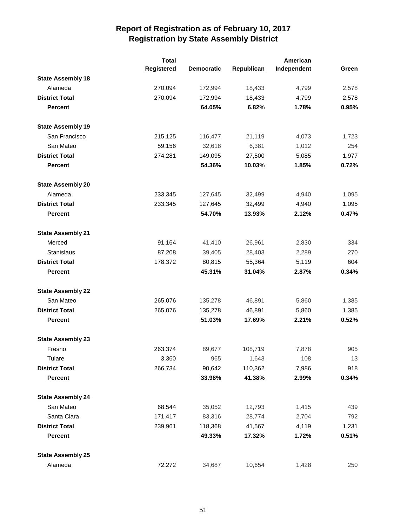|                          | <b>Total</b> |                   |            | American    |       |
|--------------------------|--------------|-------------------|------------|-------------|-------|
|                          | Registered   | <b>Democratic</b> | Republican | Independent | Green |
| <b>State Assembly 18</b> |              |                   |            |             |       |
| Alameda                  | 270,094      | 172,994           | 18,433     | 4,799       | 2,578 |
| <b>District Total</b>    | 270,094      | 172,994           | 18,433     | 4,799       | 2,578 |
| <b>Percent</b>           |              | 64.05%            | 6.82%      | 1.78%       | 0.95% |
| <b>State Assembly 19</b> |              |                   |            |             |       |
| San Francisco            | 215,125      | 116,477           | 21,119     | 4,073       | 1,723 |
| San Mateo                | 59,156       | 32,618            | 6,381      | 1,012       | 254   |
| <b>District Total</b>    | 274,281      | 149,095           | 27,500     | 5,085       | 1,977 |
| <b>Percent</b>           |              | 54.36%            | 10.03%     | 1.85%       | 0.72% |
| <b>State Assembly 20</b> |              |                   |            |             |       |
| Alameda                  | 233,345      | 127,645           | 32,499     | 4,940       | 1,095 |
| <b>District Total</b>    | 233,345      | 127,645           | 32,499     | 4,940       | 1,095 |
| <b>Percent</b>           |              | 54.70%            | 13.93%     | 2.12%       | 0.47% |
| <b>State Assembly 21</b> |              |                   |            |             |       |
| Merced                   | 91,164       | 41,410            | 26,961     | 2,830       | 334   |
| Stanislaus               | 87,208       | 39,405            | 28,403     | 2,289       | 270   |
| <b>District Total</b>    | 178,372      | 80,815            | 55,364     | 5,119       | 604   |
| <b>Percent</b>           |              | 45.31%            | 31.04%     | 2.87%       | 0.34% |
| <b>State Assembly 22</b> |              |                   |            |             |       |
| San Mateo                | 265,076      | 135,278           | 46,891     | 5,860       | 1,385 |
| <b>District Total</b>    | 265,076      | 135,278           | 46,891     | 5,860       | 1,385 |
| <b>Percent</b>           |              | 51.03%            | 17.69%     | 2.21%       | 0.52% |
| <b>State Assembly 23</b> |              |                   |            |             |       |
| Fresno                   | 263,374      | 89,677            | 108,719    | 7,878       | 905   |
| Tulare                   | 3,360        | 965               | 1,643      | 108         | 13    |
| <b>District Total</b>    | 266,734      | 90,642            | 110,362    | 7,986       | 918   |
| <b>Percent</b>           |              | 33.98%            | 41.38%     | 2.99%       | 0.34% |
| <b>State Assembly 24</b> |              |                   |            |             |       |
| San Mateo                | 68,544       | 35,052            | 12,793     | 1,415       | 439   |
| Santa Clara              | 171,417      | 83,316            | 28,774     | 2,704       | 792   |
| <b>District Total</b>    | 239,961      | 118,368           | 41,567     | 4,119       | 1,231 |
| <b>Percent</b>           |              | 49.33%            | 17.32%     | 1.72%       | 0.51% |
| <b>State Assembly 25</b> |              |                   |            |             |       |
| Alameda                  | 72,272       | 34,687            | 10,654     | 1,428       | 250   |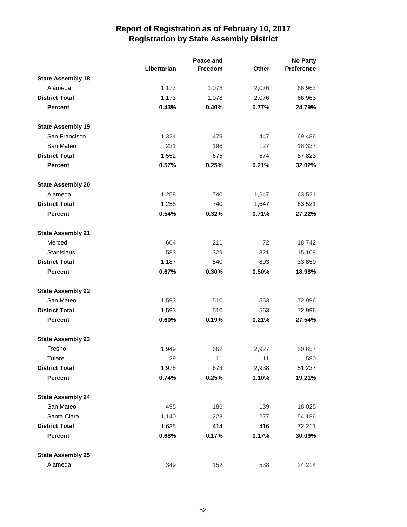|                          |             | Peace and |       | <b>No Party</b>   |  |
|--------------------------|-------------|-----------|-------|-------------------|--|
|                          | Libertarian | Freedom   | Other | <b>Preference</b> |  |
| <b>State Assembly 18</b> |             |           |       |                   |  |
| Alameda                  | 1,173       | 1,078     | 2,076 | 66,963            |  |
| <b>District Total</b>    | 1,173       | 1,078     | 2,076 | 66,963            |  |
| <b>Percent</b>           | 0.43%       | 0.40%     | 0.77% | 24.79%            |  |
| <b>State Assembly 19</b> |             |           |       |                   |  |
| San Francisco            | 1,321       | 479       | 447   | 69,486            |  |
| San Mateo                | 231         | 196       | 127   | 18,337            |  |
| <b>District Total</b>    | 1,552       | 675       | 574   | 87,823            |  |
| <b>Percent</b>           | 0.57%       | 0.25%     | 0.21% | 32.02%            |  |
| <b>State Assembly 20</b> |             |           |       |                   |  |
| Alameda                  | 1,258       | 740       | 1,647 | 63,521            |  |
| <b>District Total</b>    | 1,258       | 740       | 1,647 | 63,521            |  |
| <b>Percent</b>           | 0.54%       | 0.32%     | 0.71% | 27.22%            |  |
| <b>State Assembly 21</b> |             |           |       |                   |  |
| Merced                   | 604         | 211       | 72    | 18,742            |  |
| <b>Stanislaus</b>        | 583         | 329       | 821   | 15,108            |  |
| <b>District Total</b>    | 1,187       | 540       | 893   | 33,850            |  |
| Percent                  | 0.67%       | 0.30%     | 0.50% | 18.98%            |  |
| <b>State Assembly 22</b> |             |           |       |                   |  |
| San Mateo                | 1,593       | 510       | 563   | 72,996            |  |
| <b>District Total</b>    | 1,593       | 510       | 563   | 72,996            |  |
| <b>Percent</b>           | 0.60%       | 0.19%     | 0.21% | 27.54%            |  |
| <b>State Assembly 23</b> |             |           |       |                   |  |
| Fresno                   | 1,949       | 662       | 2,927 | 50,657            |  |
| Tulare                   | 29          | 11        | 11    | 580               |  |
| <b>District Total</b>    | 1,978       | 673       | 2,938 | 51,237            |  |
| <b>Percent</b>           | 0.74%       | 0.25%     | 1.10% | 19.21%            |  |
| <b>State Assembly 24</b> |             |           |       |                   |  |
| San Mateo                | 495         | 186       | 139   | 18,025            |  |
| Santa Clara              | 1,140       | 228       | 277   | 54,186            |  |
| <b>District Total</b>    | 1,635       | 414       | 416   | 72,211            |  |
| Percent                  | 0.68%       | 0.17%     | 0.17% | 30.09%            |  |
| <b>State Assembly 25</b> |             |           |       |                   |  |
| Alameda                  | 349         | 152       | 538   | 24,214            |  |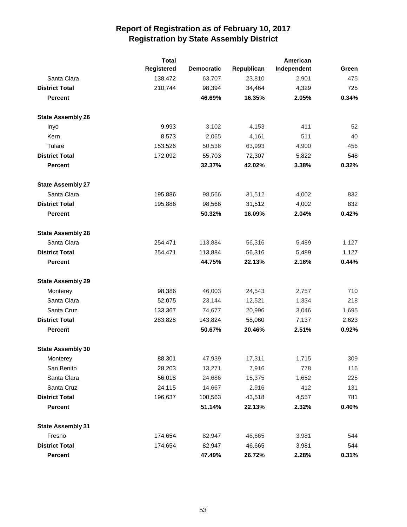|                          | <b>Total</b> |                   |            | American    |       |
|--------------------------|--------------|-------------------|------------|-------------|-------|
|                          | Registered   | <b>Democratic</b> | Republican | Independent | Green |
| Santa Clara              | 138,472      | 63,707            | 23,810     | 2,901       | 475   |
| <b>District Total</b>    | 210,744      | 98,394            | 34,464     | 4,329       | 725   |
| <b>Percent</b>           |              | 46.69%            | 16.35%     | 2.05%       | 0.34% |
| <b>State Assembly 26</b> |              |                   |            |             |       |
| Inyo                     | 9,993        | 3,102             | 4,153      | 411         | 52    |
| Kern                     | 8,573        | 2,065             | 4,161      | 511         | 40    |
| Tulare                   | 153,526      | 50,536            | 63,993     | 4,900       | 456   |
| <b>District Total</b>    | 172,092      | 55,703            | 72,307     | 5,822       | 548   |
| <b>Percent</b>           |              | 32.37%            | 42.02%     | 3.38%       | 0.32% |
| <b>State Assembly 27</b> |              |                   |            |             |       |
| Santa Clara              | 195,886      | 98,566            | 31,512     | 4,002       | 832   |
| <b>District Total</b>    | 195,886      | 98,566            | 31,512     | 4,002       | 832   |
| <b>Percent</b>           |              | 50.32%            | 16.09%     | 2.04%       | 0.42% |
| <b>State Assembly 28</b> |              |                   |            |             |       |
| Santa Clara              | 254,471      | 113,884           | 56,316     | 5,489       | 1,127 |
| <b>District Total</b>    | 254,471      | 113,884           | 56,316     | 5,489       | 1,127 |
| <b>Percent</b>           |              | 44.75%            | 22.13%     | 2.16%       | 0.44% |
| <b>State Assembly 29</b> |              |                   |            |             |       |
| Monterey                 | 98,386       | 46,003            | 24,543     | 2,757       | 710   |
| Santa Clara              | 52,075       | 23,144            | 12,521     | 1,334       | 218   |
| Santa Cruz               | 133,367      | 74,677            | 20,996     | 3,046       | 1,695 |
| <b>District Total</b>    | 283,828      | 143,824           | 58,060     | 7,137       | 2,623 |
| <b>Percent</b>           |              | 50.67%            | 20.46%     | 2.51%       | 0.92% |
| <b>State Assembly 30</b> |              |                   |            |             |       |
| Monterey                 | 88,301       | 47,939            | 17,311     | 1,715       | 309   |
| San Benito               | 28,203       | 13,271            | 7,916      | 778         | 116   |
| Santa Clara              | 56,018       | 24,686            | 15,375     | 1,652       | 225   |
| Santa Cruz               | 24,115       | 14,667            | 2,916      | 412         | 131   |
| <b>District Total</b>    | 196,637      | 100,563           | 43,518     | 4,557       | 781   |
| <b>Percent</b>           |              | 51.14%            | 22.13%     | 2.32%       | 0.40% |
| <b>State Assembly 31</b> |              |                   |            |             |       |
| Fresno                   | 174,654      | 82,947            | 46,665     | 3,981       | 544   |
| <b>District Total</b>    | 174,654      | 82,947            | 46,665     | 3,981       | 544   |
| <b>Percent</b>           |              | 47.49%            | 26.72%     | 2.28%       | 0.31% |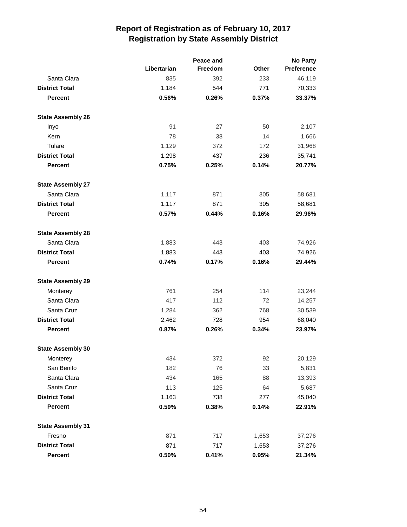|                          |             | <b>No Party</b> |              |                   |
|--------------------------|-------------|-----------------|--------------|-------------------|
|                          | Libertarian | Freedom         | <b>Other</b> | <b>Preference</b> |
| Santa Clara              | 835         | 392             | 233          | 46,119            |
| <b>District Total</b>    | 1,184       | 544             | 771          | 70,333            |
| <b>Percent</b>           | 0.56%       | 0.26%           | 0.37%        | 33.37%            |
| <b>State Assembly 26</b> |             |                 |              |                   |
| Inyo                     | 91          | 27              | 50           | 2,107             |
| Kern                     | 78          | 38              | 14           | 1,666             |
| Tulare                   | 1,129       | 372             | 172          | 31,968            |
| <b>District Total</b>    | 1,298       | 437             | 236          | 35,741            |
| <b>Percent</b>           | 0.75%       | 0.25%           | 0.14%        | 20.77%            |
| <b>State Assembly 27</b> |             |                 |              |                   |
| Santa Clara              | 1,117       | 871             | 305          | 58,681            |
| <b>District Total</b>    | 1,117       | 871             | 305          | 58,681            |
| <b>Percent</b>           | 0.57%       | 0.44%           | 0.16%        | 29.96%            |
| <b>State Assembly 28</b> |             |                 |              |                   |
| Santa Clara              | 1,883       | 443             | 403          | 74,926            |
| <b>District Total</b>    | 1,883       | 443             | 403          | 74,926            |
| <b>Percent</b>           | 0.74%       | 0.17%           | 0.16%        | 29.44%            |
| <b>State Assembly 29</b> |             |                 |              |                   |
| Monterey                 | 761         | 254             | 114          | 23,244            |
| Santa Clara              | 417         | 112             | 72           | 14,257            |
| Santa Cruz               | 1,284       | 362             | 768          | 30,539            |
| <b>District Total</b>    | 2,462       | 728             | 954          | 68,040            |
| <b>Percent</b>           | 0.87%       | 0.26%           | 0.34%        | 23.97%            |
| <b>State Assembly 30</b> |             |                 |              |                   |
| Monterey                 | 434         | 372             | 92           | 20,129            |
| San Benito               | 182         | 76              | 33           | 5,831             |
| Santa Clara              | 434         | 165             | 88           | 13,393            |
| Santa Cruz               | 113         | 125             | 64           | 5,687             |
| <b>District Total</b>    | 1,163       | 738             | 277          | 45,040            |
| <b>Percent</b>           | 0.59%       | 0.38%           | 0.14%        | 22.91%            |
| <b>State Assembly 31</b> |             |                 |              |                   |
| Fresno                   | 871         | 717             | 1,653        | 37,276            |
| <b>District Total</b>    | 871         | 717             | 1,653        | 37,276            |
| Percent                  | 0.50%       | 0.41%           | 0.95%        | 21.34%            |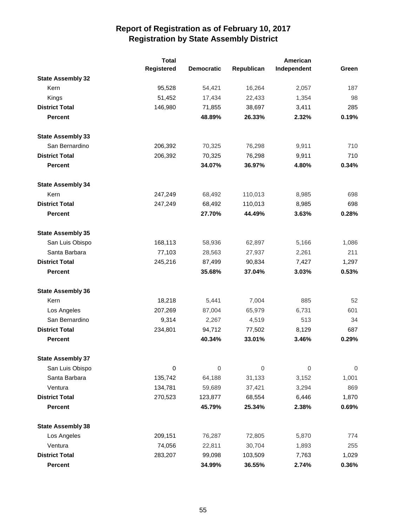|                          | <b>Total</b> |                   |            | American    |             |
|--------------------------|--------------|-------------------|------------|-------------|-------------|
|                          | Registered   | <b>Democratic</b> | Republican | Independent | Green       |
| <b>State Assembly 32</b> |              |                   |            |             |             |
| Kern                     | 95,528       | 54,421            | 16,264     | 2,057       | 187         |
| Kings                    | 51,452       | 17,434            | 22,433     | 1,354       | 98          |
| <b>District Total</b>    | 146,980      | 71,855            | 38,697     | 3,411       | 285         |
| <b>Percent</b>           |              | 48.89%            | 26.33%     | 2.32%       | 0.19%       |
| <b>State Assembly 33</b> |              |                   |            |             |             |
| San Bernardino           | 206,392      | 70,325            | 76,298     | 9,911       | 710         |
| <b>District Total</b>    | 206,392      | 70,325            | 76,298     | 9,911       | 710         |
| <b>Percent</b>           |              | 34.07%            | 36.97%     | 4.80%       | 0.34%       |
| <b>State Assembly 34</b> |              |                   |            |             |             |
| Kern                     | 247,249      | 68,492            | 110,013    | 8,985       | 698         |
| <b>District Total</b>    | 247,249      | 68,492            | 110,013    | 8,985       | 698         |
| <b>Percent</b>           |              | 27.70%            | 44.49%     | 3.63%       | 0.28%       |
| <b>State Assembly 35</b> |              |                   |            |             |             |
| San Luis Obispo          | 168,113      | 58,936            | 62,897     | 5,166       | 1,086       |
| Santa Barbara            | 77,103       | 28,563            | 27,937     | 2,261       | 211         |
| <b>District Total</b>    | 245,216      | 87,499            | 90,834     | 7,427       | 1,297       |
| <b>Percent</b>           |              | 35.68%            | 37.04%     | 3.03%       | 0.53%       |
| <b>State Assembly 36</b> |              |                   |            |             |             |
| Kern                     | 18,218       | 5,441             | 7,004      | 885         | 52          |
| Los Angeles              | 207,269      | 87,004            | 65,979     | 6,731       | 601         |
| San Bernardino           | 9,314        | 2,267             | 4,519      | 513         | 34          |
| <b>District Total</b>    | 234,801      | 94,712            | 77,502     | 8,129       | 687         |
| <b>Percent</b>           |              | 40.34%            | 33.01%     | 3.46%       | 0.29%       |
| <b>State Assembly 37</b> |              |                   |            |             |             |
| San Luis Obispo          | 0            | 0                 | 0          | 0           | $\mathbf 0$ |
| Santa Barbara            | 135,742      | 64,188            | 31,133     | 3,152       | 1,001       |
| Ventura                  | 134,781      | 59,689            | 37,421     | 3,294       | 869         |
| <b>District Total</b>    | 270,523      | 123,877           | 68,554     | 6,446       | 1,870       |
| <b>Percent</b>           |              | 45.79%            | 25.34%     | 2.38%       | 0.69%       |
| <b>State Assembly 38</b> |              |                   |            |             |             |
| Los Angeles              | 209,151      | 76,287            | 72,805     | 5,870       | 774         |
| Ventura                  | 74,056       | 22,811            | 30,704     | 1,893       | 255         |
| <b>District Total</b>    | 283,207      | 99,098            | 103,509    | 7,763       | 1,029       |
| Percent                  |              | 34.99%            | 36.55%     | 2.74%       | 0.36%       |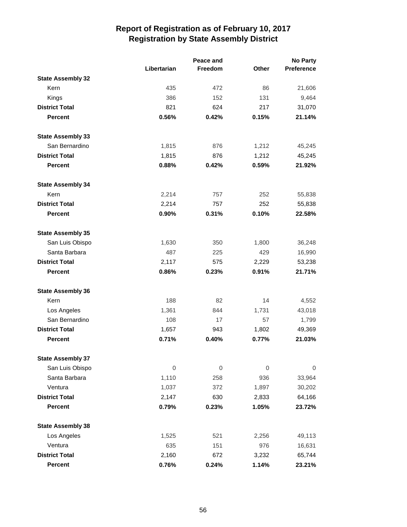|                          |             | Peace and |              | <b>No Party</b> |  |
|--------------------------|-------------|-----------|--------------|-----------------|--|
|                          | Libertarian | Freedom   | <b>Other</b> | Preference      |  |
| <b>State Assembly 32</b> |             |           |              |                 |  |
| Kern                     | 435         | 472       | 86           | 21,606          |  |
| Kings                    | 386         | 152       | 131          | 9,464           |  |
| <b>District Total</b>    | 821         | 624       | 217          | 31,070          |  |
| <b>Percent</b>           | 0.56%       | 0.42%     | 0.15%        | 21.14%          |  |
| <b>State Assembly 33</b> |             |           |              |                 |  |
| San Bernardino           | 1,815       | 876       | 1,212        | 45,245          |  |
| <b>District Total</b>    | 1,815       | 876       | 1,212        | 45,245          |  |
| <b>Percent</b>           | 0.88%       | 0.42%     | 0.59%        | 21.92%          |  |
| <b>State Assembly 34</b> |             |           |              |                 |  |
| Kern                     | 2,214       | 757       | 252          | 55,838          |  |
| <b>District Total</b>    | 2,214       | 757       | 252          | 55,838          |  |
| <b>Percent</b>           | 0.90%       | 0.31%     | 0.10%        | 22.58%          |  |
| <b>State Assembly 35</b> |             |           |              |                 |  |
| San Luis Obispo          | 1,630       | 350       | 1,800        | 36,248          |  |
| Santa Barbara            | 487         | 225       | 429          | 16,990          |  |
| <b>District Total</b>    | 2,117       | 575       | 2,229        | 53,238          |  |
| <b>Percent</b>           | 0.86%       | 0.23%     | 0.91%        | 21.71%          |  |
| <b>State Assembly 36</b> |             |           |              |                 |  |
| Kern                     | 188         | 82        | 14           | 4,552           |  |
| Los Angeles              | 1,361       | 844       | 1,731        | 43,018          |  |
| San Bernardino           | 108         | 17        | 57           | 1,799           |  |
| <b>District Total</b>    | 1,657       | 943       | 1,802        | 49,369          |  |
| <b>Percent</b>           | 0.71%       | 0.40%     | 0.77%        | 21.03%          |  |
| <b>State Assembly 37</b> |             |           |              |                 |  |
| San Luis Obispo          | 0           | 0         | 0            | 0               |  |
| Santa Barbara            | 1,110       | 258       | 936          | 33,964          |  |
| Ventura                  | 1,037       | 372       | 1,897        | 30,202          |  |
| <b>District Total</b>    | 2,147       | 630       | 2,833        | 64,166          |  |
| Percent                  | 0.79%       | 0.23%     | 1.05%        | 23.72%          |  |
| <b>State Assembly 38</b> |             |           |              |                 |  |
| Los Angeles              | 1,525       | 521       | 2,256        | 49,113          |  |
| Ventura                  | 635         | 151       | 976          | 16,631          |  |
| <b>District Total</b>    | 2,160       | 672       | 3,232        | 65,744          |  |
| Percent                  | 0.76%       | 0.24%     | 1.14%        | 23.21%          |  |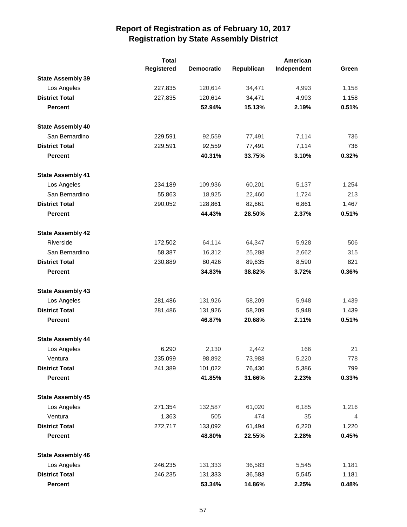|                          | <b>Total</b>      |                   |            | American    |       |
|--------------------------|-------------------|-------------------|------------|-------------|-------|
|                          | <b>Registered</b> | <b>Democratic</b> | Republican | Independent | Green |
| <b>State Assembly 39</b> |                   |                   |            |             |       |
| Los Angeles              | 227,835           | 120,614           | 34,471     | 4,993       | 1,158 |
| <b>District Total</b>    | 227,835           | 120,614           | 34,471     | 4,993       | 1,158 |
| <b>Percent</b>           |                   | 52.94%            | 15.13%     | 2.19%       | 0.51% |
| <b>State Assembly 40</b> |                   |                   |            |             |       |
| San Bernardino           | 229,591           | 92,559            | 77,491     | 7,114       | 736   |
| <b>District Total</b>    | 229,591           | 92,559            | 77,491     | 7,114       | 736   |
| <b>Percent</b>           |                   | 40.31%            | 33.75%     | 3.10%       | 0.32% |
| <b>State Assembly 41</b> |                   |                   |            |             |       |
| Los Angeles              | 234,189           | 109,936           | 60,201     | 5,137       | 1,254 |
| San Bernardino           | 55,863            | 18,925            | 22,460     | 1,724       | 213   |
| <b>District Total</b>    | 290,052           | 128,861           | 82,661     | 6,861       | 1,467 |
| <b>Percent</b>           |                   | 44.43%            | 28.50%     | 2.37%       | 0.51% |
| <b>State Assembly 42</b> |                   |                   |            |             |       |
| Riverside                | 172,502           | 64,114            | 64,347     | 5,928       | 506   |
| San Bernardino           | 58,387            | 16,312            | 25,288     | 2,662       | 315   |
| <b>District Total</b>    | 230,889           | 80,426            | 89,635     | 8,590       | 821   |
| <b>Percent</b>           |                   | 34.83%            | 38.82%     | 3.72%       | 0.36% |
| <b>State Assembly 43</b> |                   |                   |            |             |       |
| Los Angeles              | 281,486           | 131,926           | 58,209     | 5,948       | 1,439 |
| <b>District Total</b>    | 281,486           | 131,926           | 58,209     | 5,948       | 1,439 |
| <b>Percent</b>           |                   | 46.87%            | 20.68%     | 2.11%       | 0.51% |
| <b>State Assembly 44</b> |                   |                   |            |             |       |
| Los Angeles              | 6,290             | 2,130             | 2,442      | 166         | 21    |
| Ventura                  | 235,099           | 98,892            | 73,988     | 5,220       | 778   |
| <b>District Total</b>    | 241,389           | 101,022           | 76,430     | 5,386       | 799   |
| <b>Percent</b>           |                   | 41.85%            | 31.66%     | 2.23%       | 0.33% |
| <b>State Assembly 45</b> |                   |                   |            |             |       |
| Los Angeles              | 271,354           | 132,587           | 61,020     | 6,185       | 1,216 |
| Ventura                  | 1,363             | 505               | 474        | 35          | 4     |
| <b>District Total</b>    | 272,717           | 133,092           | 61,494     | 6,220       | 1,220 |
| <b>Percent</b>           |                   | 48.80%            | 22.55%     | 2.28%       | 0.45% |
| <b>State Assembly 46</b> |                   |                   |            |             |       |
| Los Angeles              | 246,235           | 131,333           | 36,583     | 5,545       | 1,181 |
| <b>District Total</b>    | 246,235           | 131,333           | 36,583     | 5,545       | 1,181 |
| <b>Percent</b>           |                   | 53.34%            | 14.86%     | 2.25%       | 0.48% |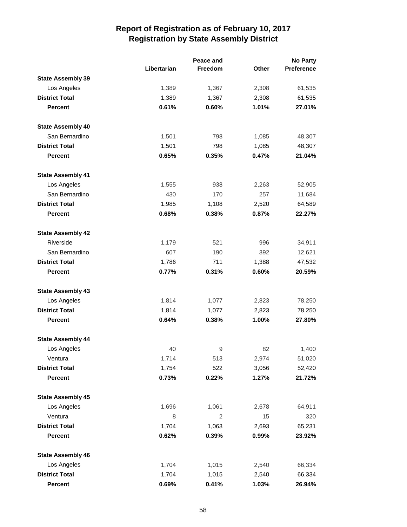|                          |             | Peace and      |              | <b>No Party</b> |  |
|--------------------------|-------------|----------------|--------------|-----------------|--|
|                          | Libertarian | Freedom        | <b>Other</b> | Preference      |  |
| <b>State Assembly 39</b> |             |                |              |                 |  |
| Los Angeles              | 1,389       | 1,367          | 2,308        | 61,535          |  |
| <b>District Total</b>    | 1,389       | 1,367          | 2,308        | 61,535          |  |
| <b>Percent</b>           | 0.61%       | 0.60%          | 1.01%        | 27.01%          |  |
| <b>State Assembly 40</b> |             |                |              |                 |  |
| San Bernardino           | 1,501       | 798            | 1,085        | 48,307          |  |
| <b>District Total</b>    | 1,501       | 798            | 1,085        | 48,307          |  |
| <b>Percent</b>           | 0.65%       | 0.35%          | 0.47%        | 21.04%          |  |
| <b>State Assembly 41</b> |             |                |              |                 |  |
| Los Angeles              | 1,555       | 938            | 2,263        | 52,905          |  |
| San Bernardino           | 430         | 170            | 257          | 11,684          |  |
| <b>District Total</b>    | 1,985       | 1,108          | 2,520        | 64,589          |  |
| <b>Percent</b>           | 0.68%       | 0.38%          | 0.87%        | 22.27%          |  |
| <b>State Assembly 42</b> |             |                |              |                 |  |
| Riverside                | 1,179       | 521            | 996          | 34,911          |  |
| San Bernardino           | 607         | 190            | 392          | 12,621          |  |
| <b>District Total</b>    | 1,786       | 711            | 1,388        | 47,532          |  |
| <b>Percent</b>           | 0.77%       | 0.31%          | 0.60%        | 20.59%          |  |
| <b>State Assembly 43</b> |             |                |              |                 |  |
| Los Angeles              | 1,814       | 1,077          | 2,823        | 78,250          |  |
| <b>District Total</b>    | 1,814       | 1,077          | 2,823        | 78,250          |  |
| <b>Percent</b>           | 0.64%       | 0.38%          | 1.00%        | 27.80%          |  |
| <b>State Assembly 44</b> |             |                |              |                 |  |
| Los Angeles              | 40          | 9              | 82           | 1,400           |  |
| Ventura                  | 1,714       | 513            | 2,974        | 51,020          |  |
| <b>District Total</b>    | 1,754       | 522            | 3,056        | 52,420          |  |
| <b>Percent</b>           | 0.73%       | 0.22%          | 1.27%        | 21.72%          |  |
| <b>State Assembly 45</b> |             |                |              |                 |  |
| Los Angeles              | 1,696       | 1,061          | 2,678        | 64,911          |  |
| Ventura                  | 8           | $\overline{2}$ | 15           | 320             |  |
| <b>District Total</b>    | 1,704       | 1,063          | 2,693        | 65,231          |  |
| <b>Percent</b>           | 0.62%       | 0.39%          | 0.99%        | 23.92%          |  |
| <b>State Assembly 46</b> |             |                |              |                 |  |
| Los Angeles              | 1,704       | 1,015          | 2,540        | 66,334          |  |
| <b>District Total</b>    | 1,704       | 1,015          | 2,540        | 66,334          |  |
| Percent                  | 0.69%       | 0.41%          | 1.03%        | 26.94%          |  |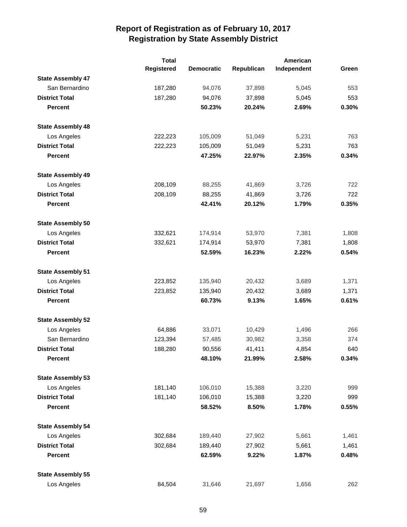|                          | <b>Total</b> |                   |            | American    |       |
|--------------------------|--------------|-------------------|------------|-------------|-------|
|                          | Registered   | <b>Democratic</b> | Republican | Independent | Green |
| <b>State Assembly 47</b> |              |                   |            |             |       |
| San Bernardino           | 187,280      | 94,076            | 37,898     | 5,045       | 553   |
| <b>District Total</b>    | 187,280      | 94,076            | 37,898     | 5,045       | 553   |
| <b>Percent</b>           |              | 50.23%            | 20.24%     | 2.69%       | 0.30% |
| <b>State Assembly 48</b> |              |                   |            |             |       |
| Los Angeles              | 222,223      | 105,009           | 51,049     | 5,231       | 763   |
| <b>District Total</b>    | 222,223      | 105,009           | 51,049     | 5,231       | 763   |
| <b>Percent</b>           |              | 47.25%            | 22.97%     | 2.35%       | 0.34% |
| <b>State Assembly 49</b> |              |                   |            |             |       |
| Los Angeles              | 208,109      | 88,255            | 41,869     | 3,726       | 722   |
| <b>District Total</b>    | 208,109      | 88,255            | 41,869     | 3,726       | 722   |
| <b>Percent</b>           |              | 42.41%            | 20.12%     | 1.79%       | 0.35% |
| <b>State Assembly 50</b> |              |                   |            |             |       |
| Los Angeles              | 332,621      | 174,914           | 53,970     | 7,381       | 1,808 |
| <b>District Total</b>    | 332,621      | 174,914           | 53,970     | 7,381       | 1,808 |
| <b>Percent</b>           |              | 52.59%            | 16.23%     | 2.22%       | 0.54% |
| <b>State Assembly 51</b> |              |                   |            |             |       |
| Los Angeles              | 223,852      | 135,940           | 20,432     | 3,689       | 1,371 |
| <b>District Total</b>    | 223,852      | 135,940           | 20,432     | 3,689       | 1,371 |
| <b>Percent</b>           |              | 60.73%            | 9.13%      | 1.65%       | 0.61% |
| <b>State Assembly 52</b> |              |                   |            |             |       |
| Los Angeles              | 64,886       | 33,071            | 10,429     | 1,496       | 266   |
| San Bernardino           | 123,394      | 57,485            | 30,982     | 3,358       | 374   |
| <b>District Total</b>    | 188,280      | 90,556            | 41,411     | 4,854       | 640   |
| <b>Percent</b>           |              | 48.10%            | 21.99%     | 2.58%       | 0.34% |
| <b>State Assembly 53</b> |              |                   |            |             |       |
| Los Angeles              | 181,140      | 106,010           | 15,388     | 3,220       | 999   |
| <b>District Total</b>    | 181,140      | 106,010           | 15,388     | 3,220       | 999   |
| <b>Percent</b>           |              | 58.52%            | 8.50%      | 1.78%       | 0.55% |
| <b>State Assembly 54</b> |              |                   |            |             |       |
| Los Angeles              | 302,684      | 189,440           | 27,902     | 5,661       | 1,461 |
| <b>District Total</b>    | 302,684      | 189,440           | 27,902     | 5,661       | 1,461 |
| <b>Percent</b>           |              | 62.59%            | 9.22%      | 1.87%       | 0.48% |
| <b>State Assembly 55</b> |              |                   |            |             |       |
| Los Angeles              | 84,504       | 31,646            | 21,697     | 1,656       | 262   |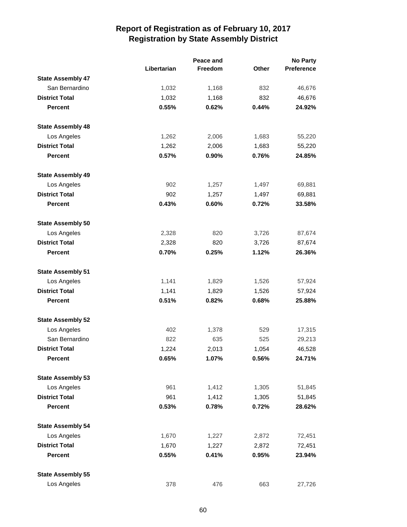|                          |             | Peace and      |          | <b>No Party</b>   |
|--------------------------|-------------|----------------|----------|-------------------|
|                          | Libertarian | <b>Freedom</b> | Other    | <b>Preference</b> |
| <b>State Assembly 47</b> |             |                |          |                   |
| San Bernardino           | 1,032       | 1,168          | 832      | 46,676            |
| <b>District Total</b>    | 1,032       | 1,168          | 832      | 46,676            |
| <b>Percent</b>           | 0.55%       | 0.62%          | 0.44%    | 24.92%            |
| <b>State Assembly 48</b> |             |                |          |                   |
| Los Angeles              | 1,262       | 2,006          | 1,683    | 55,220            |
| <b>District Total</b>    | 1,262       | 2,006          | 1,683    | 55,220            |
| <b>Percent</b>           | 0.57%       | 0.90%          | 0.76%    | 24.85%            |
| <b>State Assembly 49</b> |             |                |          |                   |
| Los Angeles              | 902         | 1,257          | 1,497    | 69,881            |
| <b>District Total</b>    | 902         | 1,257          | 1,497    | 69,881            |
| <b>Percent</b>           | 0.43%       | 0.60%          | 0.72%    | 33.58%            |
| <b>State Assembly 50</b> |             |                |          |                   |
| Los Angeles              | 2,328       | 820            | 3,726    | 87,674            |
| <b>District Total</b>    | 2,328       | 820            | 3,726    | 87,674            |
| <b>Percent</b>           | 0.70%       | 0.25%          | 1.12%    | 26.36%            |
| <b>State Assembly 51</b> |             |                |          |                   |
| Los Angeles              | 1,141       | 1,829          | 1,526    | 57,924            |
| <b>District Total</b>    | 1,141       | 1,829          | 1,526    | 57,924            |
| <b>Percent</b>           | 0.51%       | 0.82%          | 0.68%    | 25.88%            |
| <b>State Assembly 52</b> |             |                |          |                   |
| Los Angeles              | 402         | 1,378          | 529      | 17,315            |
| San Bernardino           | 822         | 635            | 525      | 29,213            |
| <b>District Total</b>    | 1,224       | 2,013          | 1,054    | 46,528            |
| Percent                  | $0.65\%$    | 1.07%          | $0.56\%$ | 24.71%            |
| <b>State Assembly 53</b> |             |                |          |                   |
| Los Angeles              | 961         | 1,412          | 1,305    | 51,845            |
| <b>District Total</b>    | 961         | 1,412          | 1,305    | 51,845            |
| <b>Percent</b>           | 0.53%       | 0.78%          | 0.72%    | 28.62%            |
| <b>State Assembly 54</b> |             |                |          |                   |
| Los Angeles              | 1,670       | 1,227          | 2,872    | 72,451            |
| <b>District Total</b>    | 1,670       | 1,227          | 2,872    | 72,451            |
| <b>Percent</b>           | 0.55%       | 0.41%          | 0.95%    | 23.94%            |
| <b>State Assembly 55</b> |             |                |          |                   |
| Los Angeles              | 378         | 476            | 663      | 27,726            |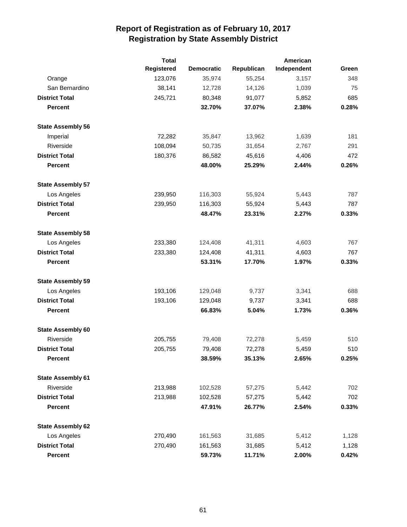|                          | <b>Total</b>      |                   |            | American    |       |
|--------------------------|-------------------|-------------------|------------|-------------|-------|
|                          | <b>Registered</b> | <b>Democratic</b> | Republican | Independent | Green |
| Orange                   | 123,076           | 35,974            | 55,254     | 3,157       | 348   |
| San Bernardino           | 38,141            | 12,728            | 14,126     | 1,039       | 75    |
| <b>District Total</b>    | 245,721           | 80,348            | 91,077     | 5,852       | 685   |
| <b>Percent</b>           |                   | 32.70%            | 37.07%     | 2.38%       | 0.28% |
| <b>State Assembly 56</b> |                   |                   |            |             |       |
| Imperial                 | 72,282            | 35,847            | 13,962     | 1,639       | 181   |
| Riverside                | 108,094           | 50,735            | 31,654     | 2,767       | 291   |
| <b>District Total</b>    | 180,376           | 86,582            | 45,616     | 4,406       | 472   |
| <b>Percent</b>           |                   | 48.00%            | 25.29%     | 2.44%       | 0.26% |
| <b>State Assembly 57</b> |                   |                   |            |             |       |
| Los Angeles              | 239,950           | 116,303           | 55,924     | 5,443       | 787   |
| <b>District Total</b>    | 239,950           | 116,303           | 55,924     | 5,443       | 787   |
| <b>Percent</b>           |                   | 48.47%            | 23.31%     | 2.27%       | 0.33% |
| <b>State Assembly 58</b> |                   |                   |            |             |       |
| Los Angeles              | 233,380           | 124,408           | 41,311     | 4,603       | 767   |
| <b>District Total</b>    | 233,380           | 124,408           | 41,311     | 4,603       | 767   |
| <b>Percent</b>           |                   | 53.31%            | 17.70%     | 1.97%       | 0.33% |
| <b>State Assembly 59</b> |                   |                   |            |             |       |
| Los Angeles              | 193,106           | 129,048           | 9,737      | 3,341       | 688   |
| <b>District Total</b>    | 193,106           | 129,048           | 9,737      | 3,341       | 688   |
| <b>Percent</b>           |                   | 66.83%            | 5.04%      | 1.73%       | 0.36% |
| <b>State Assembly 60</b> |                   |                   |            |             |       |
| Riverside                | 205,755           | 79,408            | 72,278     | 5,459       | 510   |
| <b>District Total</b>    | 205,755           | 79,408            | 72,278     | 5,459       | 510   |
| Percent                  |                   | 38.59%            | 35.13%     | 2.65%       | 0.25% |
| <b>State Assembly 61</b> |                   |                   |            |             |       |
| Riverside                | 213,988           | 102,528           | 57,275     | 5,442       | 702   |
| <b>District Total</b>    | 213,988           | 102,528           | 57,275     | 5,442       | 702   |
| <b>Percent</b>           |                   | 47.91%            | 26.77%     | 2.54%       | 0.33% |
| <b>State Assembly 62</b> |                   |                   |            |             |       |
| Los Angeles              | 270,490           | 161,563           | 31,685     | 5,412       | 1,128 |
| <b>District Total</b>    | 270,490           | 161,563           | 31,685     | 5,412       | 1,128 |
| <b>Percent</b>           |                   | 59.73%            | 11.71%     | 2.00%       | 0.42% |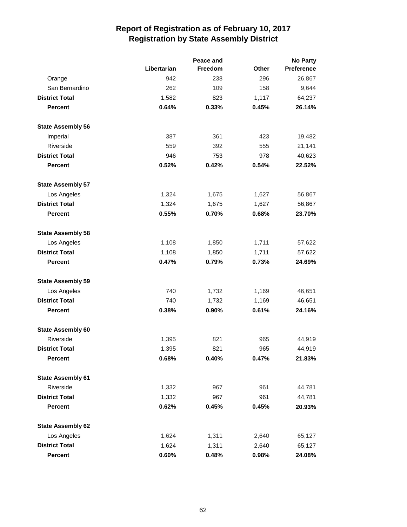|                          |             | <b>No Party</b> |              |                   |
|--------------------------|-------------|-----------------|--------------|-------------------|
|                          | Libertarian | <b>Freedom</b>  | <b>Other</b> | <b>Preference</b> |
| Orange                   | 942         | 238             | 296          | 26,867            |
| San Bernardino           | 262         | 109             | 158          | 9,644             |
| <b>District Total</b>    | 1,582       | 823             | 1,117        | 64,237            |
| <b>Percent</b>           | 0.64%       | 0.33%           | 0.45%        | 26.14%            |
| <b>State Assembly 56</b> |             |                 |              |                   |
| Imperial                 | 387         | 361             | 423          | 19,482            |
| Riverside                | 559         | 392             | 555          | 21,141            |
| <b>District Total</b>    | 946         | 753             | 978          | 40,623            |
| <b>Percent</b>           | 0.52%       | 0.42%           | 0.54%        | 22.52%            |
| <b>State Assembly 57</b> |             |                 |              |                   |
| Los Angeles              | 1,324       | 1,675           | 1,627        | 56,867            |
| <b>District Total</b>    | 1,324       | 1,675           | 1,627        | 56,867            |
| <b>Percent</b>           | 0.55%       | 0.70%           | 0.68%        | 23.70%            |
| <b>State Assembly 58</b> |             |                 |              |                   |
| Los Angeles              | 1,108       | 1,850           | 1,711        | 57,622            |
| <b>District Total</b>    | 1,108       | 1,850           | 1,711        | 57,622            |
| <b>Percent</b>           | 0.47%       | 0.79%           | 0.73%        | 24.69%            |
| <b>State Assembly 59</b> |             |                 |              |                   |
| Los Angeles              | 740         | 1,732           | 1,169        | 46,651            |
| <b>District Total</b>    | 740         | 1,732           | 1,169        | 46,651            |
| <b>Percent</b>           | 0.38%       | 0.90%           | 0.61%        | 24.16%            |
| <b>State Assembly 60</b> |             |                 |              |                   |
| Riverside                | 1,395       | 821             | 965          | 44,919            |
| <b>District Total</b>    | 1,395       | 821             | 965          | 44,919            |
| <b>Percent</b>           | 0.68%       | 0.40%           | 0.47%        | 21.83%            |
| <b>State Assembly 61</b> |             |                 |              |                   |
| Riverside                | 1,332       | 967             | 961          | 44,781            |
| <b>District Total</b>    | 1,332       | 967             | 961          | 44,781            |
| <b>Percent</b>           | 0.62%       | 0.45%           | 0.45%        | 20.93%            |
| <b>State Assembly 62</b> |             |                 |              |                   |
| Los Angeles              | 1,624       | 1,311           | 2,640        | 65,127            |
| <b>District Total</b>    | 1,624       | 1,311           | 2,640        | 65,127            |
| Percent                  | 0.60%       | 0.48%           | 0.98%        | 24.08%            |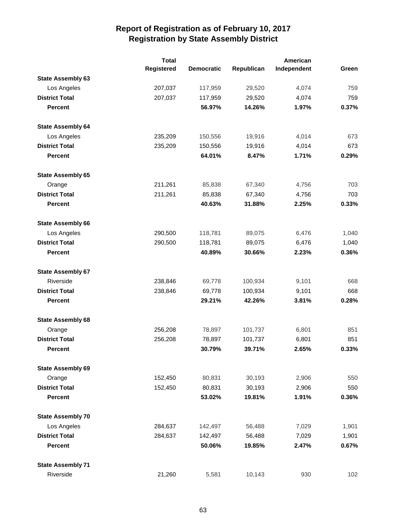|                          | <b>Total</b> |                   |            | American    |       |
|--------------------------|--------------|-------------------|------------|-------------|-------|
|                          | Registered   | <b>Democratic</b> | Republican | Independent | Green |
| <b>State Assembly 63</b> |              |                   |            |             |       |
| Los Angeles              | 207,037      | 117,959           | 29,520     | 4,074       | 759   |
| <b>District Total</b>    | 207,037      | 117,959           | 29,520     | 4,074       | 759   |
| <b>Percent</b>           |              | 56.97%            | 14.26%     | 1.97%       | 0.37% |
| <b>State Assembly 64</b> |              |                   |            |             |       |
| Los Angeles              | 235,209      | 150,556           | 19,916     | 4,014       | 673   |
| <b>District Total</b>    | 235,209      | 150,556           | 19,916     | 4,014       | 673   |
| <b>Percent</b>           |              | 64.01%            | 8.47%      | 1.71%       | 0.29% |
| <b>State Assembly 65</b> |              |                   |            |             |       |
| Orange                   | 211,261      | 85,838            | 67,340     | 4,756       | 703   |
| <b>District Total</b>    | 211,261      | 85,838            | 67,340     | 4,756       | 703   |
| <b>Percent</b>           |              | 40.63%            | 31.88%     | 2.25%       | 0.33% |
| <b>State Assembly 66</b> |              |                   |            |             |       |
| Los Angeles              | 290,500      | 118,781           | 89,075     | 6,476       | 1,040 |
| <b>District Total</b>    | 290,500      | 118,781           | 89,075     | 6,476       | 1,040 |
| <b>Percent</b>           |              | 40.89%            | 30.66%     | 2.23%       | 0.36% |
| <b>State Assembly 67</b> |              |                   |            |             |       |
| Riverside                | 238,846      | 69,778            | 100,934    | 9,101       | 668   |
| <b>District Total</b>    | 238,846      | 69,778            | 100,934    | 9,101       | 668   |
| <b>Percent</b>           |              | 29.21%            | 42.26%     | 3.81%       | 0.28% |
| <b>State Assembly 68</b> |              |                   |            |             |       |
| Orange                   | 256,208      | 78,897            | 101,737    | 6,801       | 851   |
| <b>District Total</b>    | 256,208      | 78,897            | 101,737    | 6,801       | 851   |
| <b>Percent</b>           |              | 30.79%            | 39.71%     | 2.65%       | 0.33% |
| <b>State Assembly 69</b> |              |                   |            |             |       |
| Orange                   | 152,450      | 80,831            | 30,193     | 2,906       | 550   |
| <b>District Total</b>    | 152,450      | 80,831            | 30,193     | 2,906       | 550   |
| <b>Percent</b>           |              | 53.02%            | 19.81%     | 1.91%       | 0.36% |
| <b>State Assembly 70</b> |              |                   |            |             |       |
| Los Angeles              | 284,637      | 142,497           | 56,488     | 7,029       | 1,901 |
| <b>District Total</b>    | 284,637      | 142,497           | 56,488     | 7,029       | 1,901 |
| <b>Percent</b>           |              | 50.06%            | 19.85%     | 2.47%       | 0.67% |
| <b>State Assembly 71</b> |              |                   |            |             |       |
| Riverside                | 21,260       | 5,581             | 10,143     | 930         | 102   |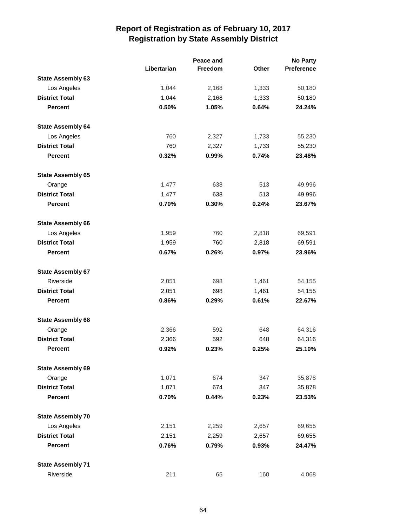|                          |             | Peace and |              | <b>No Party</b>   |  |
|--------------------------|-------------|-----------|--------------|-------------------|--|
|                          | Libertarian | Freedom   | <b>Other</b> | <b>Preference</b> |  |
| <b>State Assembly 63</b> |             |           |              |                   |  |
| Los Angeles              | 1,044       | 2,168     | 1,333        | 50,180            |  |
| <b>District Total</b>    | 1,044       | 2,168     | 1,333        | 50,180            |  |
| <b>Percent</b>           | 0.50%       | 1.05%     | 0.64%        | 24.24%            |  |
| <b>State Assembly 64</b> |             |           |              |                   |  |
| Los Angeles              | 760         | 2,327     | 1,733        | 55,230            |  |
| <b>District Total</b>    | 760         | 2,327     | 1,733        | 55,230            |  |
| <b>Percent</b>           | 0.32%       | 0.99%     | 0.74%        | 23.48%            |  |
| <b>State Assembly 65</b> |             |           |              |                   |  |
| Orange                   | 1,477       | 638       | 513          | 49,996            |  |
| <b>District Total</b>    | 1,477       | 638       | 513          | 49,996            |  |
| <b>Percent</b>           | 0.70%       | 0.30%     | 0.24%        | 23.67%            |  |
| <b>State Assembly 66</b> |             |           |              |                   |  |
| Los Angeles              | 1,959       | 760       | 2,818        | 69,591            |  |
| <b>District Total</b>    | 1,959       | 760       | 2,818        | 69,591            |  |
| <b>Percent</b>           | 0.67%       | 0.26%     | 0.97%        | 23.96%            |  |
| <b>State Assembly 67</b> |             |           |              |                   |  |
| Riverside                | 2,051       | 698       | 1,461        | 54,155            |  |
| <b>District Total</b>    | 2,051       | 698       | 1,461        | 54,155            |  |
| <b>Percent</b>           | 0.86%       | 0.29%     | 0.61%        | 22.67%            |  |
| <b>State Assembly 68</b> |             |           |              |                   |  |
| Orange                   | 2,366       | 592       | 648          | 64,316            |  |
| <b>District Total</b>    | 2,366       | 592       | 648          | 64,316            |  |
| <b>Percent</b>           | 0.92%       | 0.23%     | 0.25%        | 25.10%            |  |
| <b>State Assembly 69</b> |             |           |              |                   |  |
| Orange                   | 1,071       | 674       | 347          | 35,878            |  |
| <b>District Total</b>    | 1,071       | 674       | 347          | 35,878            |  |
| <b>Percent</b>           | 0.70%       | 0.44%     | 0.23%        | 23.53%            |  |
| <b>State Assembly 70</b> |             |           |              |                   |  |
| Los Angeles              | 2,151       | 2,259     | 2,657        | 69,655            |  |
| <b>District Total</b>    | 2,151       | 2,259     | 2,657        | 69,655            |  |
| <b>Percent</b>           | 0.76%       | 0.79%     | 0.93%        | 24.47%            |  |
| <b>State Assembly 71</b> |             |           |              |                   |  |
| Riverside                | 211         | 65        | 160          | 4,068             |  |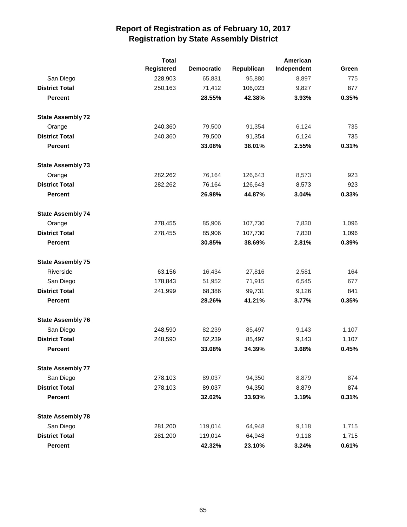|                          | <b>Total</b>      |                   |            | American    |       |
|--------------------------|-------------------|-------------------|------------|-------------|-------|
|                          | <b>Registered</b> | <b>Democratic</b> | Republican | Independent | Green |
| San Diego                | 228,903           | 65,831            | 95,880     | 8,897       | 775   |
| <b>District Total</b>    | 250,163           | 71,412            | 106,023    | 9,827       | 877   |
| <b>Percent</b>           |                   | 28.55%            | 42.38%     | 3.93%       | 0.35% |
| <b>State Assembly 72</b> |                   |                   |            |             |       |
| Orange                   | 240,360           | 79,500            | 91,354     | 6,124       | 735   |
| <b>District Total</b>    | 240,360           | 79,500            | 91,354     | 6,124       | 735   |
| <b>Percent</b>           |                   | 33.08%            | 38.01%     | 2.55%       | 0.31% |
| <b>State Assembly 73</b> |                   |                   |            |             |       |
| Orange                   | 282,262           | 76,164            | 126,643    | 8,573       | 923   |
| <b>District Total</b>    | 282,262           | 76,164            | 126,643    | 8,573       | 923   |
| <b>Percent</b>           |                   | 26.98%            | 44.87%     | 3.04%       | 0.33% |
| <b>State Assembly 74</b> |                   |                   |            |             |       |
| Orange                   | 278,455           | 85,906            | 107,730    | 7,830       | 1,096 |
| <b>District Total</b>    | 278,455           | 85,906            | 107,730    | 7,830       | 1,096 |
| <b>Percent</b>           |                   | 30.85%            | 38.69%     | 2.81%       | 0.39% |
| <b>State Assembly 75</b> |                   |                   |            |             |       |
| Riverside                | 63,156            | 16,434            | 27,816     | 2,581       | 164   |
| San Diego                | 178,843           | 51,952            | 71,915     | 6,545       | 677   |
| <b>District Total</b>    | 241,999           | 68,386            | 99,731     | 9,126       | 841   |
| <b>Percent</b>           |                   | 28.26%            | 41.21%     | 3.77%       | 0.35% |
| <b>State Assembly 76</b> |                   |                   |            |             |       |
| San Diego                | 248,590           | 82,239            | 85,497     | 9,143       | 1,107 |
| <b>District Total</b>    | 248,590           | 82,239            | 85,497     | 9,143       | 1,107 |
| <b>Percent</b>           |                   | 33.08%            | 34.39%     | 3.68%       | 0.45% |
| <b>State Assembly 77</b> |                   |                   |            |             |       |
| San Diego                | 278,103           | 89,037            | 94,350     | 8,879       | 874   |
| <b>District Total</b>    | 278,103           | 89,037            | 94,350     | 8,879       | 874   |
| <b>Percent</b>           |                   | 32.02%            | 33.93%     | 3.19%       | 0.31% |
| <b>State Assembly 78</b> |                   |                   |            |             |       |
| San Diego                | 281,200           | 119,014           | 64,948     | 9,118       | 1,715 |
| <b>District Total</b>    | 281,200           | 119,014           | 64,948     | 9,118       | 1,715 |
| <b>Percent</b>           |                   | 42.32%            | 23.10%     | 3.24%       | 0.61% |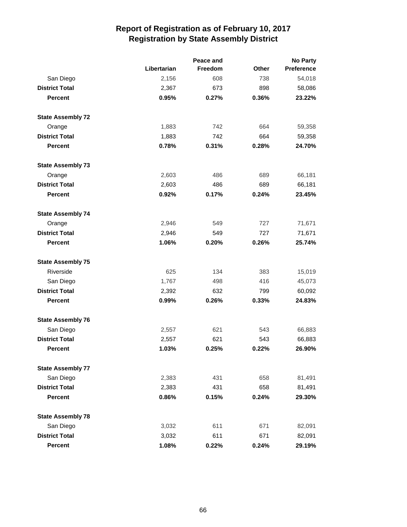|                          |             | Peace and | <b>No Party</b> |            |  |
|--------------------------|-------------|-----------|-----------------|------------|--|
|                          | Libertarian | Freedom   | Other           | Preference |  |
| San Diego                | 2,156       | 608       | 738             | 54,018     |  |
| <b>District Total</b>    | 2,367       | 673       | 898             | 58,086     |  |
| <b>Percent</b>           | 0.95%       | 0.27%     | 0.36%           | 23.22%     |  |
| <b>State Assembly 72</b> |             |           |                 |            |  |
| Orange                   | 1,883       | 742       | 664             | 59,358     |  |
| <b>District Total</b>    | 1,883       | 742       | 664             | 59,358     |  |
| <b>Percent</b>           | 0.78%       | 0.31%     | 0.28%           | 24.70%     |  |
| <b>State Assembly 73</b> |             |           |                 |            |  |
| Orange                   | 2,603       | 486       | 689             | 66,181     |  |
| <b>District Total</b>    | 2,603       | 486       | 689             | 66,181     |  |
| <b>Percent</b>           | 0.92%       | 0.17%     | 0.24%           | 23.45%     |  |
| <b>State Assembly 74</b> |             |           |                 |            |  |
| Orange                   | 2,946       | 549       | 727             | 71,671     |  |
| <b>District Total</b>    | 2,946       | 549       | 727             | 71,671     |  |
| <b>Percent</b>           | 1.06%       | 0.20%     | 0.26%           | 25.74%     |  |
| <b>State Assembly 75</b> |             |           |                 |            |  |
| Riverside                | 625         | 134       | 383             | 15,019     |  |
| San Diego                | 1,767       | 498       | 416             | 45,073     |  |
| <b>District Total</b>    | 2,392       | 632       | 799             | 60,092     |  |
| <b>Percent</b>           | 0.99%       | 0.26%     | 0.33%           | 24.83%     |  |
| <b>State Assembly 76</b> |             |           |                 |            |  |
| San Diego                | 2,557       | 621       | 543             | 66,883     |  |
| <b>District Total</b>    | 2,557       | 621       | 543             | 66,883     |  |
| <b>Percent</b>           | 1.03%       | 0.25%     | 0.22%           | 26.90%     |  |
| <b>State Assembly 77</b> |             |           |                 |            |  |
| San Diego                | 2,383       | 431       | 658             | 81,491     |  |
| <b>District Total</b>    | 2,383       | 431       | 658             | 81,491     |  |
| <b>Percent</b>           | 0.86%       | 0.15%     | 0.24%           | 29.30%     |  |
| <b>State Assembly 78</b> |             |           |                 |            |  |
| San Diego                | 3,032       | 611       | 671             | 82,091     |  |
| <b>District Total</b>    | 3,032       | 611       | 671             | 82,091     |  |
| <b>Percent</b>           | 1.08%       | 0.22%     | 0.24%           | 29.19%     |  |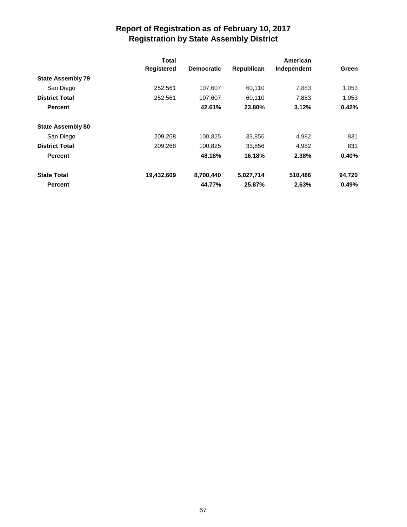|                          | Total             |                   |            | American    |        |
|--------------------------|-------------------|-------------------|------------|-------------|--------|
|                          | <b>Registered</b> | <b>Democratic</b> | Republican | Independent | Green  |
| <b>State Assembly 79</b> |                   |                   |            |             |        |
| San Diego                | 252,561           | 107,607           | 60,110     | 7,883       | 1,053  |
| <b>District Total</b>    | 252,561           | 107,607           | 60,110     | 7,883       | 1,053  |
| <b>Percent</b>           |                   | 42.61%            | 23.80%     | 3.12%       | 0.42%  |
| <b>State Assembly 80</b> |                   |                   |            |             |        |
| San Diego                | 209,268           | 100,825           | 33,856     | 4,982       | 831    |
| <b>District Total</b>    | 209,268           | 100,825           | 33,856     | 4,982       | 831    |
| <b>Percent</b>           |                   | 48.18%            | 16.18%     | 2.38%       | 0.40%  |
| <b>State Total</b>       | 19,432,609        | 8,700,440         | 5.027,714  | 510,486     | 94,720 |
| <b>Percent</b>           |                   | 44.77%            | 25.87%     | 2.63%       | 0.49%  |